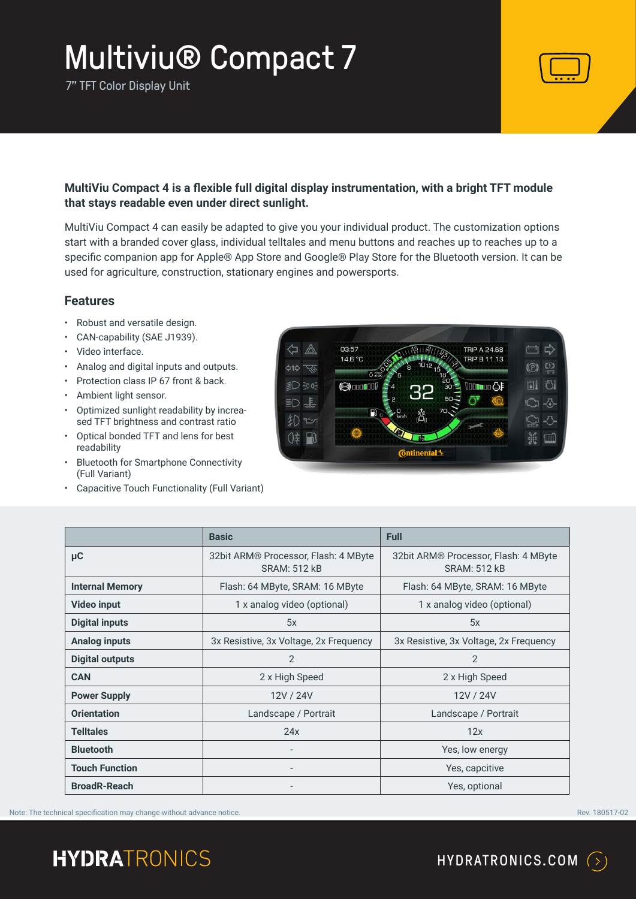7" TFT Color Display Unit



### **MultiViu Compact 4 is a flexible full digital display instrumentation, with a bright TFT module that stays readable even under direct sunlight.**

MultiViu Compact 4 can easily be adapted to give you your individual product. The customization options start with a branded cover glass, individual telltales and menu buttons and reaches up to reaches up to a specific companion app for Apple® App Store and Google® Play Store for the Bluetooth version. It can be used for agriculture, construction, stationary engines and powersports.

#### **Features**

- Robust and versatile design.
- CAN-capability (SAE J1939).
- Video interface.
- Analog and digital inputs and outputs.
- Protection class IP 67 front & back.
- Ambient light sensor.
- Optimized sunlight readability by increased TFT brightness and contrast ratio
- Optical bonded TFT and lens for best readability
- Bluetooth for Smartphone Connectivity (Full Variant)
- Capacitive Touch Functionality (Full Variant)

|     | 03:57                  |                            |                  | <b>TRIP A 24.68</b> |             |
|-----|------------------------|----------------------------|------------------|---------------------|-------------|
| á1ò | 14.6 °C<br>$O_{x1000}$ | 1012<br>8<br>6             | 15.              | <b>TRIP B 11.13</b> | g<br>(C     |
|     | $\odot$ 000000         |                            | $\frac{18}{20}$  | <b>VOODBOO GF</b>   | 门<br>訓      |
| 且   | FU<br>÷.               | 2<br>$\Box$<br>Å           | $50 -$<br>$70 -$ |                     |             |
|     |                        | km/h                       |                  |                     | <b>STOP</b> |
| ⊕.  |                        | Da<br><b>C</b> ntinental 3 |                  |                     | 怨<br>I.WU   |

|                        | <b>Basic</b>                                                | <b>Full</b>                                                 |
|------------------------|-------------------------------------------------------------|-------------------------------------------------------------|
| μC                     | 32bit ARM® Processor, Flash: 4 MByte<br><b>SRAM: 512 kB</b> | 32bit ARM® Processor, Flash: 4 MByte<br><b>SRAM: 512 kB</b> |
| <b>Internal Memory</b> | Flash: 64 MByte, SRAM: 16 MByte                             | Flash: 64 MByte, SRAM: 16 MByte                             |
| <b>Video input</b>     | 1 x analog video (optional)                                 | 1 x analog video (optional)                                 |
| <b>Digital inputs</b>  | 5x                                                          | 5x                                                          |
| <b>Analog inputs</b>   | 3x Resistive, 3x Voltage, 2x Frequency                      | 3x Resistive, 3x Voltage, 2x Frequency                      |
| <b>Digital outputs</b> | 2                                                           | 2                                                           |
| <b>CAN</b>             | 2 x High Speed                                              | 2 x High Speed                                              |
| <b>Power Supply</b>    | 12V / 24V                                                   | 12V / 24V                                                   |
| <b>Orientation</b>     | Landscape / Portrait                                        | Landscape / Portrait                                        |
| <b>Telltales</b>       | 24x                                                         | 12x                                                         |
| <b>Bluetooth</b>       | $\overline{a}$                                              | Yes, low energy                                             |
| <b>Touch Function</b>  | $\qquad \qquad -$                                           | Yes, capcitive                                              |
| <b>BroadR-Reach</b>    |                                                             | Yes, optional                                               |

Note: The technical specification may change without advance notice. The contract of the contract of the contract of the contract of the contract of the contract of the contract of the contract of the contract of the contr

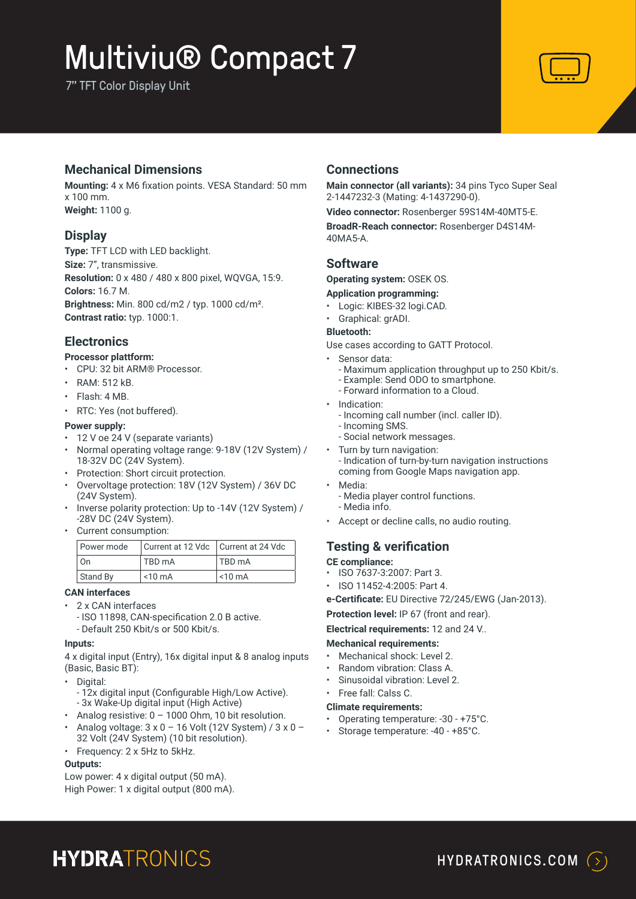7" TFT Color Display Unit



### **Mechanical Dimensions**

**Mounting:** 4 x M6 fixation points. VESA Standard: 50 mm x 100 mm. **Weight:** 1100 g.

## **Display**

**Type:** TFT LCD with LED backlight. **Size:** 7", transmissive. **Resolution:** 0 x 480 / 480 x 800 pixel, WQVGA, 15:9. **Colors:** 16.7 M. **Brightness:** Min. 800 cd/m2 / typ. 1000 cd/m². **Contrast ratio:** typ. 1000:1.

## **Electronics**

#### **Processor plattform:**

- CPU: 32 bit ARM® Processor.
- RAM: 512 kB.
- Flash: 4 MB.
- RTC: Yes (not buffered).

#### **Power supply:**

- 12 V oe 24 V (separate variants)
- Normal operating voltage range: 9-18V (12V System) / 18-32V DC (24V System).
- Protection: Short circuit protection.
- Overvoltage protection: 18V (12V System) / 36V DC (24V System).
- Inverse polarity protection: Up to -14V (12V System) / -28V DC (24V System).
- Current consumption:

| Power mode | Current at 12 Vdc   Current at 24 Vdc |                      |  |
|------------|---------------------------------------|----------------------|--|
| On         | TBD mA                                | <b>TBD</b> mA        |  |
| Stand By   | $\sim$ 10 mA                          | $\leq 10 \text{ mA}$ |  |

#### **CAN interfaces**

- 2 x CAN interfaces
	- ISO 11898, CAN-specification 2.0 B active. - Default 250 Kbit/s or 500 Kbit/s.
- **Inputs:**

4 x digital input (Entry), 16x digital input & 8 analog inputs (Basic, Basic BT):

- Digital:
	- 12x digital input (Configurable High/Low Active). - 3x Wake-Up digital input (High Active)
- Analog resistive: 0 1000 Ohm, 10 bit resolution.
- Analog voltage: 3 x 0 16 Volt (12V System) / 3 x 0 32 Volt (24V System) (10 bit resolution).
- Frequency: 2 x 5Hz to 5kHz.

#### **Outputs:**

Low power: 4 x digital output (50 mA). High Power: 1 x digital output (800 mA).

## **Connections**

**Main connector (all variants):** 34 pins Tyco Super Seal 2-1447232-3 (Mating: 4-1437290-0).

**Video connector:** Rosenberger 59S14M-40MT5-E.

**BroadR-Reach connector:** Rosenberger D4S14M-40MA5-A.

### **Software**

**Operating system:** OSEK OS.

#### **Application programming:**

- Logic: KIBES-32 logi.CAD.
- Graphical: grADI.
- **Bluetooth:**

Use cases according to GATT Protocol.

- Sensor data:
	- Maximum application throughput up to 250 Kbit/s.
	- Example: Send ODO to smartphone.
	- Forward information to a Cloud.
- Indication:
	- Incoming call number (incl. caller ID).
	- Incoming SMS.
	- Social network messages.
- Turn by turn navigation: - Indication of turn-by-turn navigation instructions coming from Google Maps navigation app.
- Media:
- Media player control functions. - Media info.
- Accept or decline calls, no audio routing.

## **Testing & verification**

**CE compliance:** 

- ISO 7637-3:2007: Part 3.
- ISO 11452-4:2005: Part 4.
- **e-Certificate:** EU Directive 72/245/EWG (Jan-2013).

**Protection level:** IP 67 (front and rear).

**Electrical requirements:** 12 and 24 V..

#### **Mechanical requirements:**

- Mechanical shock: Level 2.
- Random vibration: Class A.
- Sinusoidal vibration: Level 2.
- Free fall: Calss C.

#### **Climate requirements:**

- Operating temperature: -30 +75°C.
- Storage temperature: -40 +85°C.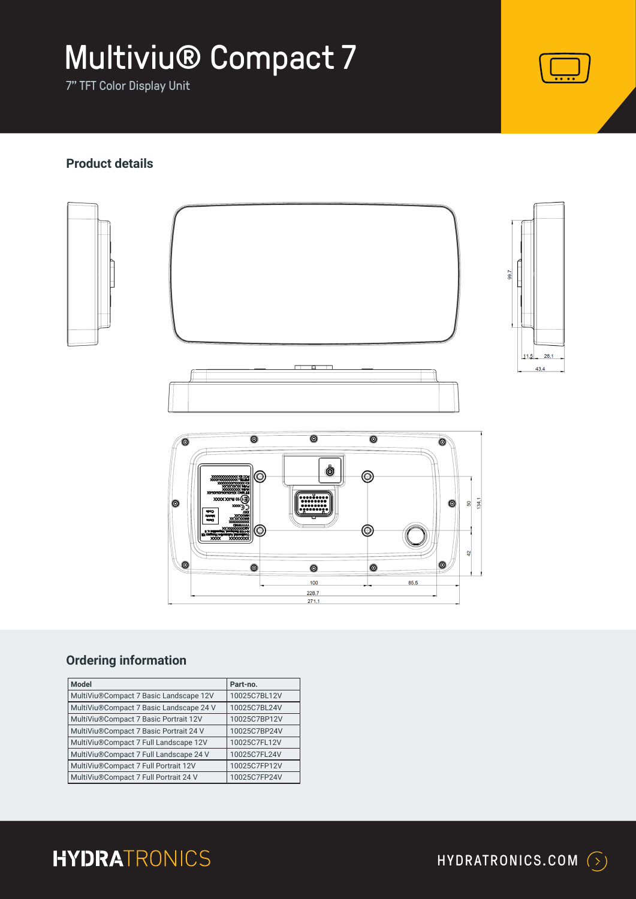7" TFT Color Display Unit



# **Product details**



# **Ordering information**

| <b>Model</b>                            | Part-no.     |
|-----------------------------------------|--------------|
| MultiViu®Compact 7 Basic Landscape 12V  | 10025C7BL12V |
| MultiViu®Compact 7 Basic Landscape 24 V | 10025C7BL24V |
| MultiViu®Compact 7 Basic Portrait 12V   | 10025C7BP12V |
| MultiViu®Compact 7 Basic Portrait 24 V  | 10025C7BP24V |
| MultiViu®Compact 7 Full Landscape 12V   | 10025C7FL12V |
| MultiViu®Compact 7 Full Landscape 24 V  | 10025C7FL24V |
| MultiViu®Compact 7 Full Portrait 12V    | 10025C7FP12V |
| MultiViu®Compact 7 Full Portrait 24 V   | 10025C7FP24V |